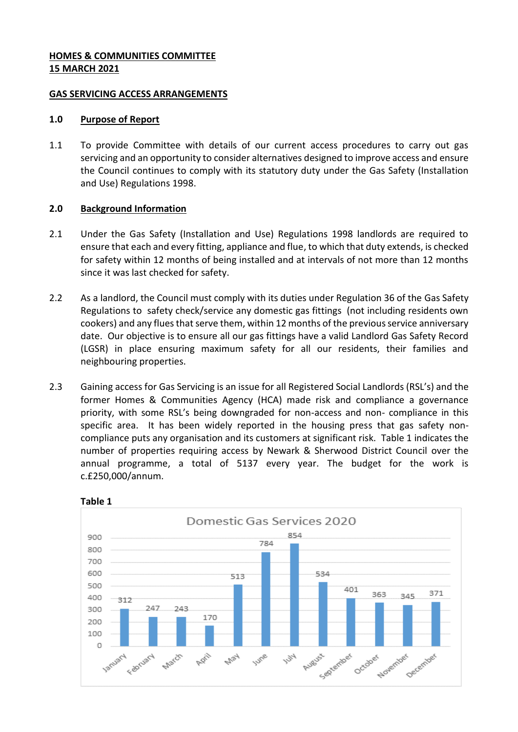### **HOMES & COMMUNITIES COMMITTEE 15 MARCH 2021**

### **GAS SERVICING ACCESS ARRANGEMENTS**

### **1.0 Purpose of Report**

1.1 To provide Committee with details of our current access procedures to carry out gas servicing and an opportunity to consider alternatives designed to improve access and ensure the Council continues to comply with its statutory duty under the Gas Safety (Installation and Use) Regulations 1998.

# **2.0 Background Information**

- 2.1 Under the Gas Safety (Installation and Use) Regulations 1998 landlords are required to ensure that each and every fitting, appliance and flue, to which that duty extends, is checked for safety within 12 months of being installed and at intervals of not more than 12 months since it was last checked for safety.
- 2.2 As a landlord, the Council must comply with its duties under Regulation 36 of the Gas Safety Regulations to safety check/service any domestic gas fittings (not including residents own cookers) and any flues that serve them, within 12 months of the previous service anniversary date. Our objective is to ensure all our gas fittings have a valid Landlord Gas Safety Record (LGSR) in place ensuring maximum safety for all our residents, their families and neighbouring properties.
- 2.3 Gaining access for Gas Servicing is an issue for all Registered Social Landlords (RSL's) and the former Homes & Communities Agency (HCA) made risk and compliance a governance priority, with some RSL's being downgraded for non-access and non- compliance in this specific area. It has been widely reported in the housing press that gas safety noncompliance puts any organisation and its customers at significant risk. Table 1 indicates the number of properties requiring access by Newark & Sherwood District Council over the annual programme, a total of 5137 every year. The budget for the work is c.£250,000/annum.



**Table 1**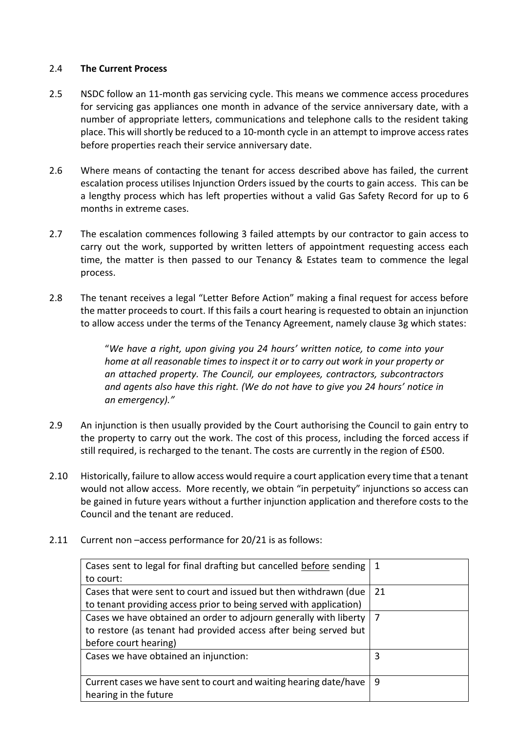### 2.4 **The Current Process**

- 2.5 NSDC follow an 11-month gas servicing cycle. This means we commence access procedures for servicing gas appliances one month in advance of the service anniversary date, with a number of appropriate letters, communications and telephone calls to the resident taking place. This will shortly be reduced to a 10-month cycle in an attempt to improve access rates before properties reach their service anniversary date.
- 2.6 Where means of contacting the tenant for access described above has failed, the current escalation process utilises Injunction Orders issued by the courts to gain access. This can be a lengthy process which has left properties without a valid Gas Safety Record for up to 6 months in extreme cases.
- 2.7 The escalation commences following 3 failed attempts by our contractor to gain access to carry out the work, supported by written letters of appointment requesting access each time, the matter is then passed to our Tenancy & Estates team to commence the legal process.
- 2.8 The tenant receives a legal "Letter Before Action" making a final request for access before the matter proceeds to court. If this fails a court hearing is requested to obtain an injunction to allow access under the terms of the Tenancy Agreement, namely clause 3g which states:

"*We have a right, upon giving you 24 hours' written notice, to come into your home at all reasonable times to inspect it or to carry out work in your property or an attached property. The Council, our employees, contractors, subcontractors and agents also have this right. (We do not have to give you 24 hours' notice in an emergency)."*

- 2.9 An injunction is then usually provided by the Court authorising the Council to gain entry to the property to carry out the work. The cost of this process, including the forced access if still required, is recharged to the tenant. The costs are currently in the region of £500.
- 2.10 Historically, failure to allow access would require a court application every time that a tenant would not allow access. More recently, we obtain "in perpetuity" injunctions so access can be gained in future years without a further injunction application and therefore costs to the Council and the tenant are reduced.
- 2.11 Current non –access performance for 20/21 is as follows:

| Cases sent to legal for final drafting but cancelled before sending | 1  |
|---------------------------------------------------------------------|----|
| to court:                                                           |    |
| Cases that were sent to court and issued but then withdrawn (due    | 21 |
| to tenant providing access prior to being served with application)  |    |
| Cases we have obtained an order to adjourn generally with liberty   |    |
| to restore (as tenant had provided access after being served but    |    |
| before court hearing)                                               |    |
| Cases we have obtained an injunction:                               | 3  |
|                                                                     |    |
| Current cases we have sent to court and waiting hearing date/have   | 9  |
| hearing in the future                                               |    |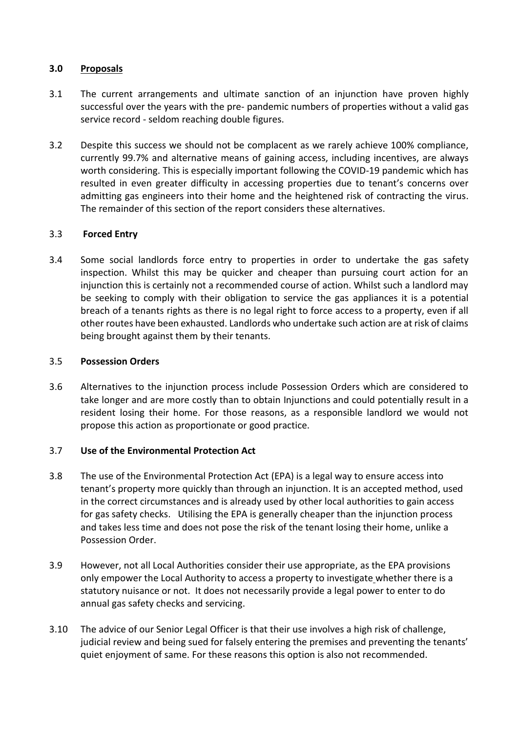### **3.0 Proposals**

- 3.1 The current arrangements and ultimate sanction of an injunction have proven highly successful over the years with the pre- pandemic numbers of properties without a valid gas service record - seldom reaching double figures.
- 3.2 Despite this success we should not be complacent as we rarely achieve 100% compliance, currently 99.7% and alternative means of gaining access, including incentives, are always worth considering. This is especially important following the COVID-19 pandemic which has resulted in even greater difficulty in accessing properties due to tenant's concerns over admitting gas engineers into their home and the heightened risk of contracting the virus. The remainder of this section of the report considers these alternatives.

# 3.3 **Forced Entry**

3.4 Some social landlords force entry to properties in order to undertake the gas safety inspection. Whilst this may be quicker and cheaper than pursuing court action for an injunction this is certainly not a recommended course of action. Whilst such a landlord may be seeking to comply with their obligation to service the gas appliances it is a potential breach of a tenants rights as there is no legal right to force access to a property, even if all other routes have been exhausted. Landlords who undertake such action are at risk of claims being brought against them by their tenants.

#### 3.5 **Possession Orders**

3.6 Alternatives to the injunction process include Possession Orders which are considered to take longer and are more costly than to obtain Injunctions and could potentially result in a resident losing their home. For those reasons, as a responsible landlord we would not propose this action as proportionate or good practice.

#### 3.7 **Use of the Environmental Protection Act**

- 3.8 The use of the Environmental Protection Act (EPA) is a legal way to ensure access into tenant's property more quickly than through an injunction. It is an accepted method, used in the correct circumstances and is already used by other local authorities to gain access for gas safety checks. Utilising the EPA is generally cheaper than the injunction process and takes less time and does not pose the risk of the tenant losing their home, unlike a Possession Order.
- 3.9 However, not all Local Authorities consider their use appropriate, as the EPA provisions only empower the Local Authority to access a property to investigate whether there is a statutory nuisance or not. It does not necessarily provide a legal power to enter to do annual gas safety checks and servicing.
- 3.10 The advice of our Senior Legal Officer is that their use involves a high risk of challenge, judicial review and being sued for falsely entering the premises and preventing the tenants' quiet enjoyment of same. For these reasons this option is also not recommended.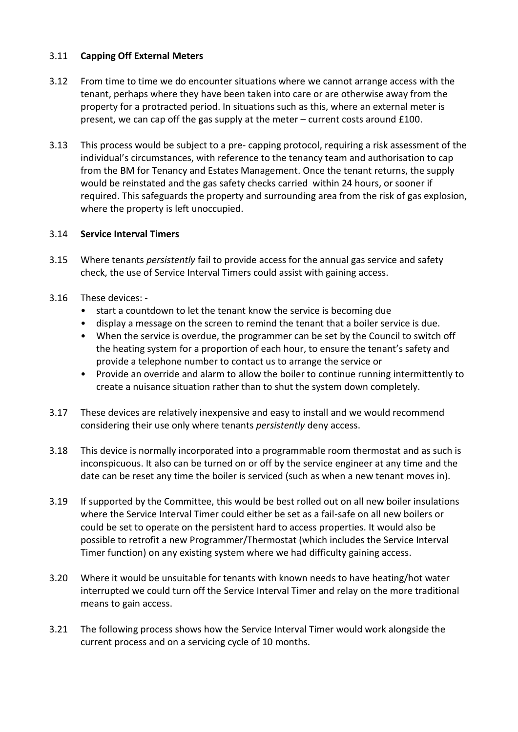# 3.11 **Capping Off External Meters**

- 3.12 From time to time we do encounter situations where we cannot arrange access with the tenant, perhaps where they have been taken into care or are otherwise away from the property for a protracted period. In situations such as this, where an external meter is present, we can cap off the gas supply at the meter – current costs around £100.
- 3.13 This process would be subject to a pre- capping protocol, requiring a risk assessment of the individual's circumstances, with reference to the tenancy team and authorisation to cap from the BM for Tenancy and Estates Management. Once the tenant returns, the supply would be reinstated and the gas safety checks carried within 24 hours, or sooner if required. This safeguards the property and surrounding area from the risk of gas explosion, where the property is left unoccupied.

### 3.14 **Service Interval Timers**

- 3.15 Where tenants *persistently* fail to provide access for the annual gas service and safety check, the use of Service Interval Timers could assist with gaining access.
- 3.16 These devices:
	- start a countdown to let the tenant know the service is becoming due
	- display a message on the screen to remind the tenant that a boiler service is due.
	- When the service is overdue, the programmer can be set by the Council to switch off the heating system for a proportion of each hour, to ensure the tenant's safety and provide a telephone number to contact us to arrange the service or
	- Provide an override and alarm to allow the boiler to continue running intermittently to create a nuisance situation rather than to shut the system down completely.
- 3.17 These devices are relatively inexpensive and easy to install and we would recommend considering their use only where tenants *persistently* deny access.
- 3.18 This device is normally incorporated into a programmable room thermostat and as such is inconspicuous. It also can be turned on or off by the service engineer at any time and the date can be reset any time the boiler is serviced (such as when a new tenant moves in).
- 3.19 If supported by the Committee, this would be best rolled out on all new boiler insulations where the Service Interval Timer could either be set as a fail-safe on all new boilers or could be set to operate on the persistent hard to access properties. It would also be possible to retrofit a new Programmer/Thermostat (which includes the Service Interval Timer function) on any existing system where we had difficulty gaining access.
- 3.20 Where it would be unsuitable for tenants with known needs to have heating/hot water interrupted we could turn off the Service Interval Timer and relay on the more traditional means to gain access.
- 3.21 The following process shows how the Service Interval Timer would work alongside the current process and on a servicing cycle of 10 months.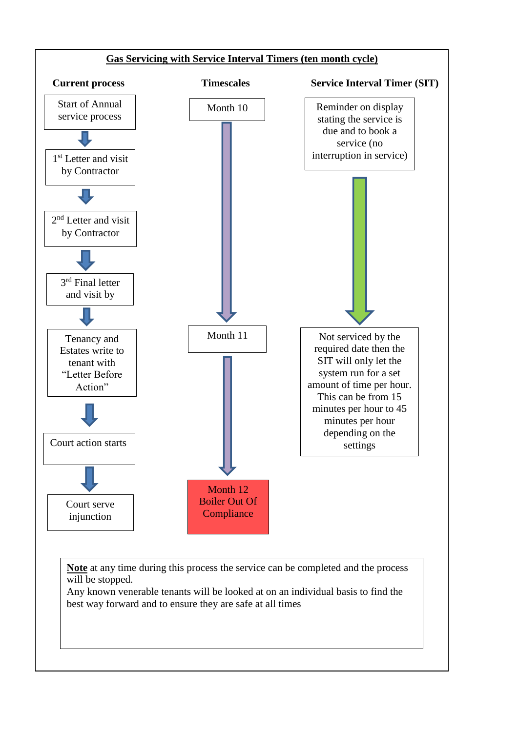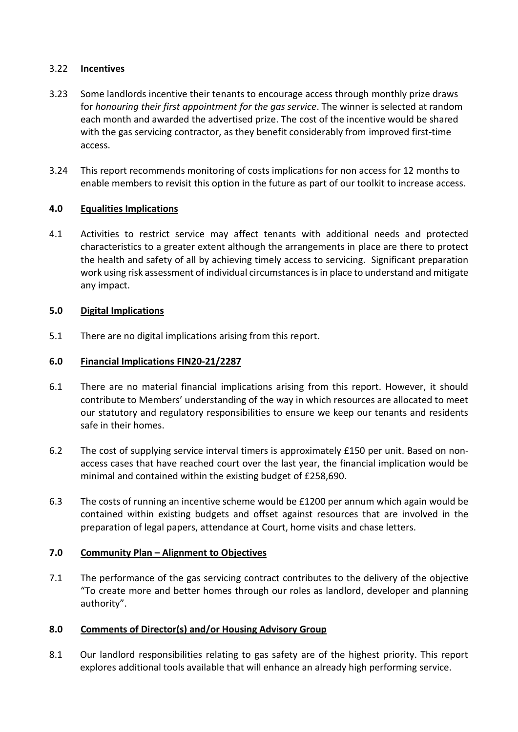### 3.22 **Incentives**

- 3.23 Some landlords incentive their tenants to encourage access through monthly prize draws for *honouring their first appointment for the gas service*. The winner is selected at random each month and awarded the advertised prize. The cost of the incentive would be shared with the gas servicing contractor, as they benefit considerably from improved first-time access.
- 3.24 This report recommends monitoring of costs implications for non access for 12 months to enable members to revisit this option in the future as part of our toolkit to increase access.

# **4.0 Equalities Implications**

4.1 Activities to restrict service may affect tenants with additional needs and protected characteristics to a greater extent although the arrangements in place are there to protect the health and safety of all by achieving timely access to servicing. Significant preparation work using risk assessment of individual circumstances is in place to understand and mitigate any impact.

# **5.0 Digital Implications**

5.1 There are no digital implications arising from this report.

# **6.0 Financial Implications FIN20-21/2287**

- 6.1 There are no material financial implications arising from this report. However, it should contribute to Members' understanding of the way in which resources are allocated to meet our statutory and regulatory responsibilities to ensure we keep our tenants and residents safe in their homes.
- 6.2 The cost of supplying service interval timers is approximately £150 per unit. Based on nonaccess cases that have reached court over the last year, the financial implication would be minimal and contained within the existing budget of £258,690.
- 6.3 The costs of running an incentive scheme would be £1200 per annum which again would be contained within existing budgets and offset against resources that are involved in the preparation of legal papers, attendance at Court, home visits and chase letters.

#### **7.0 Community Plan – Alignment to Objectives**

7.1 The performance of the gas servicing contract contributes to the delivery of the objective "To create more and better homes through our roles as landlord, developer and planning authority".

# **8.0 Comments of Director(s) and/or Housing Advisory Group**

8.1 Our landlord responsibilities relating to gas safety are of the highest priority. This report explores additional tools available that will enhance an already high performing service.